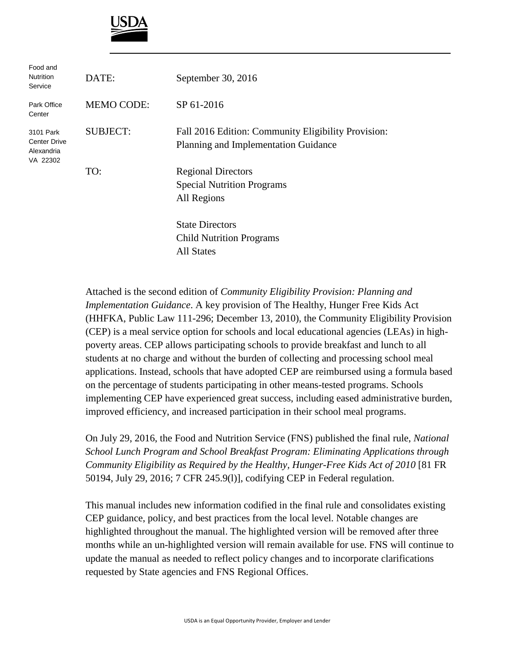

| Food and<br><b>Nutrition</b><br>Service                    | DATE:             | September 30, 2016                                                                          |
|------------------------------------------------------------|-------------------|---------------------------------------------------------------------------------------------|
| Park Office<br>Center                                      | <b>MEMO CODE:</b> | SP 61-2016                                                                                  |
| 3101 Park<br><b>Center Drive</b><br>Alexandria<br>VA 22302 | <b>SUBJECT:</b>   | Fall 2016 Edition: Community Eligibility Provision:<br>Planning and Implementation Guidance |
|                                                            | TO:               | <b>Regional Directors</b><br><b>Special Nutrition Programs</b><br>All Regions               |
|                                                            |                   | <b>State Directors</b><br><b>Child Nutrition Programs</b><br><b>All States</b>              |

Attached is the second edition of *Community Eligibility Provision: Planning and Implementation Guidance*. A key provision of The Healthy, Hunger Free Kids Act (HHFKA, Public Law 111-296; December 13, 2010), the Community Eligibility Provision (CEP) is a meal service option for schools and local educational agencies (LEAs) in highpoverty areas. CEP allows participating schools to provide breakfast and lunch to all students at no charge and without the burden of collecting and processing school meal applications. Instead, schools that have adopted CEP are reimbursed using a formula based on the percentage of students participating in other means-tested programs. Schools implementing CEP have experienced great success, including eased administrative burden, improved efficiency, and increased participation in their school meal programs.

On July 29, 2016, the Food and Nutrition Service (FNS) published the final rule, *National School Lunch Program and School Breakfast Program: Eliminating Applications through Community Eligibility as Required by the Healthy, Hunger-Free Kids Act of 2010* [81 FR 50194, July 29, 2016; 7 CFR 245.9(l)], codifying CEP in Federal regulation.

This manual includes new information codified in the final rule and consolidates existing CEP guidance, policy, and best practices from the local level. Notable changes are highlighted throughout the manual. The highlighted version will be removed after three months while an un-highlighted version will remain available for use. FNS will continue to update the manual as needed to reflect policy changes and to incorporate clarifications requested by State agencies and FNS Regional Offices.